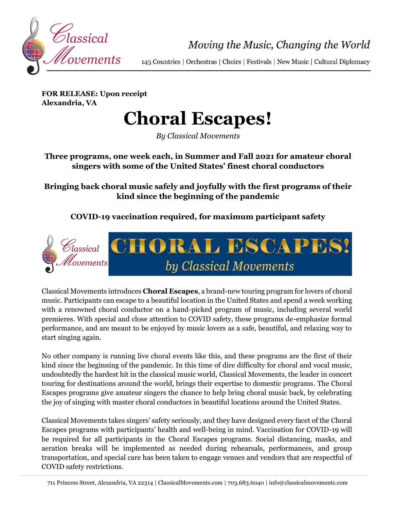

Moving the Music, Changing the World

145 Countries | Orchestras | Choirs | Festivals | New Music | Cultural Diplomacy

**FOR RELEASE: Upon receipt Alexandria, VA**

# **Choral Escapes!**

*By Classical Movements*

### **Three programs, one week each, in Summer and Fall 2021 for amateur choral singers with some of the United States' finest choral conductors**

**Bringing back choral music safely and joyfully with the first programs of their kind since the beginning of the pandemic**

**COVID-19 vaccination required, for maximum participant safety**



Classical Movements introduces **Choral Escapes**, a brand-new touring program for lovers of choral music. Participants can escape to a beautiful location in the United States and spend a week working with a renowned choral conductor on a hand-picked program of music, including several world premieres. With special and close attention to COVID safety, these programs de-emphasize formal performance, and are meant to be enjoyed by music lovers as a safe, beautiful, and relaxing way to start singing again.

No other company is running live choral events like this, and these programs are the first of their kind since the beginning of the pandemic. In this time of dire difficulty for choral and vocal music, undoubtedly the hardest hit in the classical music world, Classical Movements, the leader in concert touring for destinations around the world, brings their expertise to domestic programs. The Choral Escapes programs give amateur singers the chance to help bring choral music back, by celebrating the joy of singing with master choral conductors in beautiful locations around the United States.

Classical Movements takes singers' safety seriously, and they have designed every facet of the Choral Escapes programs with participants' health and well-being in mind. Vaccination for COVID-19 will be required for all participants in the Choral Escapes programs. Social distancing, masks, and aeration breaks will be implemented as needed during rehearsals, performances, and group transportation, and special care has been taken to engage venues and vendors that are respectful of COVID safety restrictions.

<sup>711</sup> Princess Street, Alexandria, VA 22314 | ClassicalMovements.com | 703.683.6040 | info@classicalmovements.com